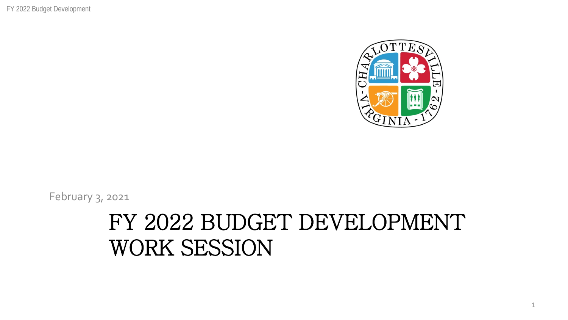FY 2022 Budget Development



February 3, 2021

#### FY 2022 BUDGET DEVELOPMENT WORK SESSION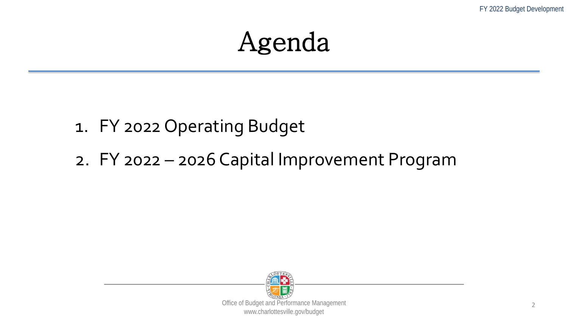#### Agenda

#### 1. FY 2022 Operating Budget

2. FY 2022 – 2026 Capital Improvement Program

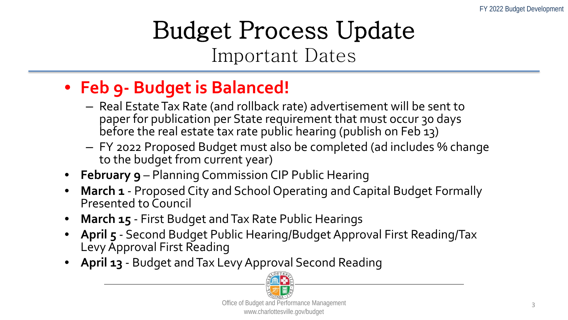#### Budget Process Update Important Dates

#### • **Feb 9- Budget is Balanced!**

- Real Estate Tax Rate (and rollback rate) advertisement will be sent to paper for publication per State requirement that must occur 30 days before the real estate tax rate public hearing (publish on Feb 13)
- FY 2022 Proposed Budget must also be completed (ad includes % change to the budget from current year)
- **February 9** Planning Commission CIP Public Hearing
- **March 1** Proposed City and School Operating and Capital Budget Formally Presented to Council
- **March 15** First Budget and Tax Rate Public Hearings
- **April 5** Second Budget Public Hearing/Budget Approval First Reading/Tax Levy Approval First Reading
- April 13 Budget and Tax Levy Approval Second Reading

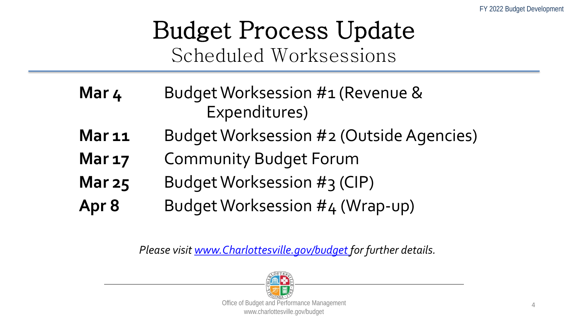#### Budget Process Update Scheduled Worksessions

- **Mar 4** Budget Worksession #1 (Revenue & Expenditures)
- **Mar 11** Budget Worksession #2 (Outside Agencies)
- **Mar 17** Community Budget Forum
- **Mar 25** Budget Worksession #3 (CIP)
- **Apr 8** Budget Worksession #4 (Wrap-up)

*Please visit [www.Charlottesville.gov/budget f](http://www.charlottesville.gov/budget)or further details.*

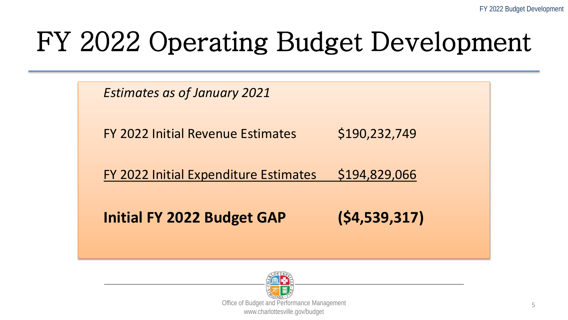*Estimates as of January 2021*

FY 2022 Initial Revenue Estimates \$190,232,749

FY 2022 Initial Expenditure Estimates \$194,829,066

**Initial FY 2022 Budget GAP (\$4,539,317)**

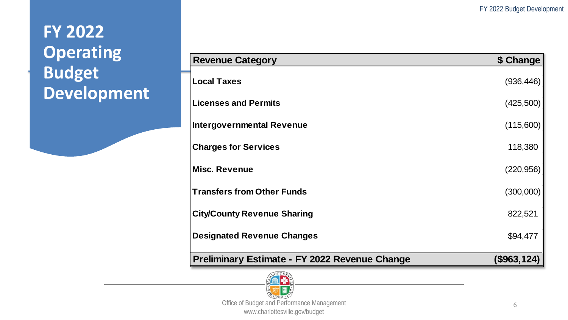| <b>Revenue Category</b>                              | \$ Change         |
|------------------------------------------------------|-------------------|
| <b>Local Taxes</b>                                   | (936, 446)        |
| <b>Licenses and Permits</b>                          | (425,500)         |
| <b>Intergovernmental Revenue</b>                     | (115,600)         |
| <b>Charges for Services</b>                          | 118,380           |
| <b>Misc. Revenue</b>                                 | (220, 956)        |
| <b>Transfers from Other Funds</b>                    | (300,000)         |
| <b>City/County Revenue Sharing</b>                   | 822,521           |
| <b>Designated Revenue Changes</b>                    | \$94,477          |
| <b>Preliminary Estimate - FY 2022 Revenue Change</b> | $($ \$963,124 $)$ |

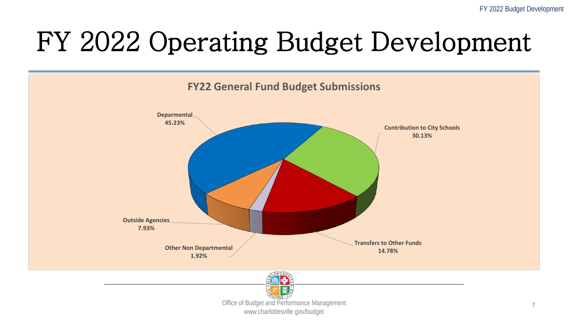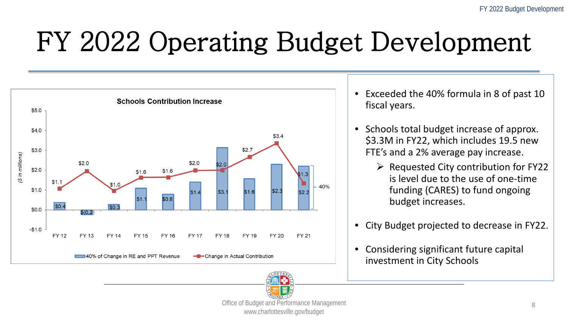

- Exceeded the 40% formula in 8 of past 10 fiscal years.
- Schools total budget increase of approx. \$3.3M in FY22, which includes 19.5 new FTE's and a 2% average pay increase.
	- $\triangleright$  Requested City contribution for FY22 is level due to the use of one-time funding (CARES) to fund ongoing budget increases.
- City Budget projected to decrease in FY22.
- Considering significant future capital investment in City Schools

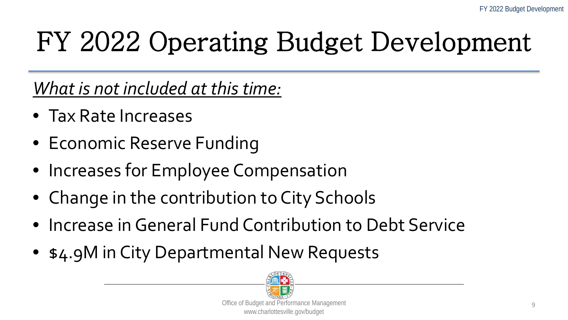*What is not included at this time:*

- Tax Rate Increases
- Economic Reserve Funding
- Increases for Employee Compensation
- Change in the contribution to City Schools
- Increase in General Fund Contribution to Debt Service
- \$4.9M in City Departmental New Requests

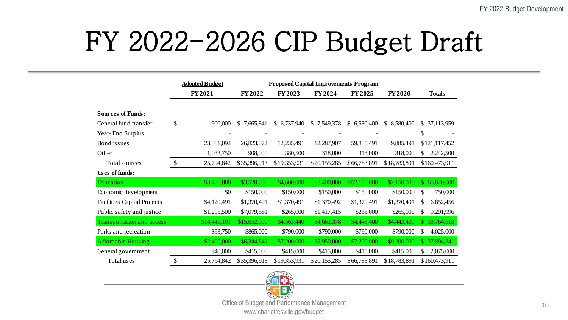### FY 2022-2026 CIP Budget Draft

|                                    | <b>Proposed Capital Improvements Program</b><br><b>Adopted Budget</b> |              |                           |              |              |              |              |                            |
|------------------------------------|-----------------------------------------------------------------------|--------------|---------------------------|--------------|--------------|--------------|--------------|----------------------------|
|                                    |                                                                       | FY 2021      | FY 2022                   | FY 2023      | FY 2024      | FY 2025      | FY 2026      | <b>Totals</b>              |
|                                    |                                                                       |              |                           |              |              |              |              |                            |
| <b>Sources of Funds:</b>           |                                                                       |              |                           |              |              |              |              |                            |
| General fund transfer              | \$                                                                    | 900,000      | <sup>S</sup><br>7,665,841 | \$6,737,940  | \$7,549,378  | \$6,580,400  | \$8,580,400  | \$ 37,113,959              |
| Year-End Surplus                   |                                                                       |              |                           |              |              |              |              | \$                         |
| Bond issues                        |                                                                       | 23,861,092   | 26,823,072                | 12,235,491   | 12,287,907   | 59,885,491   | 9,885,491    | \$121,117,452              |
| Other                              |                                                                       | 1,033,750    | 908,000                   | 380,500      | 318,000      | 318,000      | 318,000      | \$.<br>2,242,500           |
| Total sources                      | $\$\,$                                                                | 25,794,842   | \$35,396,913              | \$19,353,931 | \$20,155,285 | \$66,783,891 | \$18,783,891 | \$160,473,911              |
| Uses of funds:                     |                                                                       |              |                           |              |              |              |              |                            |
| Education                          |                                                                       | \$3,400,000  | \$3,520,000               | \$4,600,000  | \$3,400,000  | \$52,150,000 | \$2,150,000  | 65,820,000<br>$\mathbb{S}$ |
| Economic development               |                                                                       | \$0          | \$150,000                 | \$150,000    | \$150,000    | \$150,000    | \$150,000    | \$<br>750,000              |
| <b>Facilities Capital Projects</b> |                                                                       | \$4,120,491  | \$1,370,491               | \$1,370,491  | \$1,370,492  | \$1,370,491  | \$1,370,491  | \$<br>6,852,456            |
| Public safety and justice          |                                                                       | \$1,295,500  | \$7,079,581               | \$265,000    | \$1,417,415  | \$265,000    | \$265,000    | 9,291,996<br>\$.           |
| <b>Transportation and access</b>   |                                                                       | \$14,445,101 | \$15,652,000              | \$4,563,440  | \$4,662,378  | \$4,443,400  | \$4,443,400  | \$33,764,618               |
| Parks and recreation               |                                                                       | \$93,750     | \$865,000                 | \$790,000    | \$790,000    | \$790,000    | \$790,000    | 4,025,000<br>\$.           |
| <b>Affordable Housing</b>          |                                                                       | \$2,400,000  | \$6,344,841               | \$7,200,000  | \$7,950,000  | \$7,200,000  | \$9,200,000  | \$37,894,841               |
| General government                 |                                                                       | \$40,000     | \$415,000                 | \$415,000    | \$415,000    | \$415,000    | \$415,000    | \$<br>2,075,000            |
| Total uses                         | \$                                                                    | 25,794,842   | \$35,396,913              | \$19,353,931 | \$20,155,285 | \$66,783,891 | \$18,783,891 | \$160,473,911              |

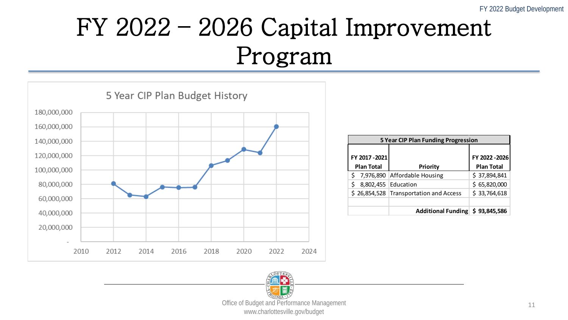### FY 2022 – 2026 Capital Improvement Program



| <b>5 Year CIP Plan Funding Progression</b> |                     |                                        |                   |  |  |  |  |  |
|--------------------------------------------|---------------------|----------------------------------------|-------------------|--|--|--|--|--|
|                                            |                     |                                        |                   |  |  |  |  |  |
| FY 2017-2021                               |                     |                                        | FY 2022-2026      |  |  |  |  |  |
| <b>Plan Total</b>                          |                     | <b>Priority</b>                        | <b>Plan Total</b> |  |  |  |  |  |
| \$                                         |                     | 7,976,890 Affordable Housing           | \$37,894,841      |  |  |  |  |  |
| \$                                         | 8,802,455 Education |                                        | \$65,820,000      |  |  |  |  |  |
|                                            |                     | \$26,854,528 Transportation and Access | \$33,764,618      |  |  |  |  |  |
|                                            |                     |                                        |                   |  |  |  |  |  |
|                                            |                     | Additional Funding \$93,845,586        |                   |  |  |  |  |  |

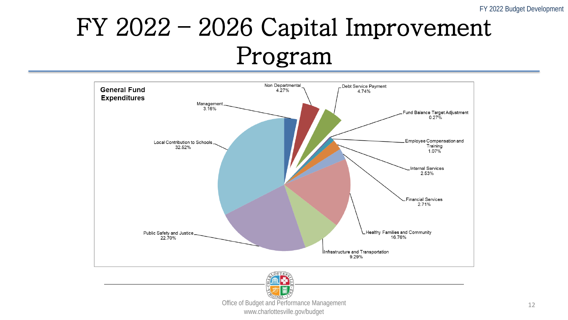#### FY 2022 – 2026 Capital Improvement Program



www.charlottesville.gov/budget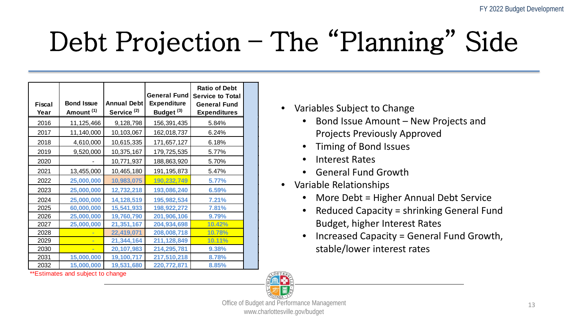# Debt Projection – The "Planning" Side

| <b>Fiscal</b><br>Year | <b>Bond Issue</b><br>Amount <sup>(1)</sup> | <b>Annual Debt</b><br>Service <sup>(2)</sup> | <b>General Fund</b><br><b>Expenditure</b><br>Budget <sup>(3)</sup> | <b>Ratio of Debt</b><br><b>Service to Total</b><br><b>General Fund</b><br><b>Expenditures</b> |
|-----------------------|--------------------------------------------|----------------------------------------------|--------------------------------------------------------------------|-----------------------------------------------------------------------------------------------|
| 2016                  | 11,125,466                                 | 9,128,798                                    | 156,391,435                                                        | 5.84%                                                                                         |
| 2017                  | 11,140,000                                 | 10,103,067                                   | 162,018,737                                                        | 6.24%                                                                                         |
| 2018                  | 4,610,000                                  | 10,615,335                                   | 171,657,127                                                        | 6.18%                                                                                         |
| 2019                  | 9,520,000                                  | 10,375,167                                   | 179,725,535                                                        | 5.77%                                                                                         |
| 2020                  |                                            | 10,771,937                                   | 188,863,920                                                        | 5.70%                                                                                         |
| 2021                  | 13,455,000                                 | 10,465,180                                   | 191, 195, 873                                                      | 5.47%                                                                                         |
| 2022                  | 25,000,000                                 | 10,983,075                                   | 190,232,749                                                        | 5.77%                                                                                         |
| 2023                  | 25,000,000                                 | 12,732,218                                   | 193,086,240                                                        | 6.59%                                                                                         |
| 2024                  | 25,000,000                                 | 14,128,519                                   | 195,982,534                                                        | 7.21%                                                                                         |
| 2025                  | 60,000,000                                 | 15,541,933                                   | 198,922,272                                                        | 7.81%                                                                                         |
| 2026                  | 25,000,000                                 | 19,760,790                                   | 201,906,106                                                        | 9.79%                                                                                         |
| 2027                  | 25,000,000                                 | 21,351,167                                   | 204,934,698                                                        | 10.42%                                                                                        |
| 2028                  |                                            | 22,419,071                                   | 208,008,718                                                        | 10.78%                                                                                        |
| 2029                  |                                            | 21,344,164                                   | 211,128,849                                                        | 10.11%                                                                                        |
| 2030                  |                                            | 20,107,983                                   | 214,295,781                                                        | 9.38%                                                                                         |
| 2031                  | 15,000,000                                 | 19,100,717                                   | 217,510,218                                                        | 8.78%                                                                                         |
| 2032                  | 15,000,000                                 | 19,531,680                                   | 220,772,871                                                        | 8.85%                                                                                         |

\*\*Estimates and subject to change

- Variables Subject to Change
	- Bond Issue Amount New Projects and Projects Previously Approved
	- Timing of Bond Issues
	- Interest Rates
	- General Fund Growth
- Variable Relationships
	- More Debt = Higher Annual Debt Service
	- Reduced Capacity = shrinking General Fund Budget, higher Interest Rates
	- Increased Capacity = General Fund Growth, stable/lower interest rates

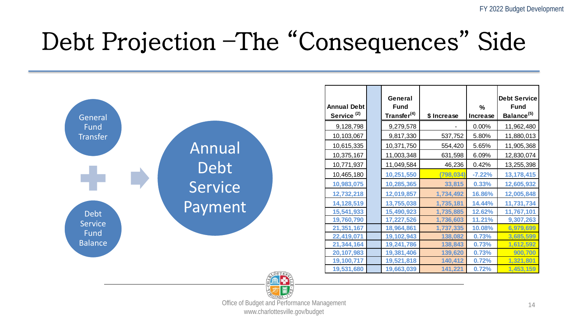#### Debt Projection –The "Consequences" Side



www.charlottesville.gov/budget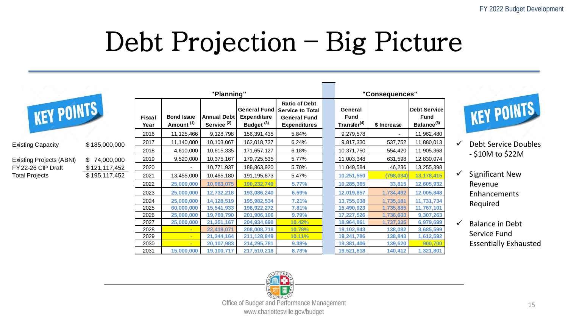### Debt Projection – Big Picture

| "Planning"               |               |                |                                            |                                              | "Consequences"                              |                                                                                                           |                                                   |             |                                                       |   |                              |
|--------------------------|---------------|----------------|--------------------------------------------|----------------------------------------------|---------------------------------------------|-----------------------------------------------------------------------------------------------------------|---------------------------------------------------|-------------|-------------------------------------------------------|---|------------------------------|
| KEY POINTS               |               | Fiscal<br>Year | <b>Bond Issue</b><br>Amount <sup>(1)</sup> | <b>Annual Debt</b><br>Service <sup>(2)</sup> | <b>Expenditure</b><br>Budget <sup>(3)</sup> | <b>Ratio of Debt</b><br>  General Fund   Service to Total  <br><b>General Fund</b><br><b>Expenditures</b> | General<br><b>Fund</b><br>Transfer <sup>(4)</sup> | \$ Increase | Debt Service<br><b>Fund</b><br>Balance <sup>(5)</sup> |   | KEY POINTS                   |
|                          |               | 2016           | 11,125,466                                 | 9,128,798                                    | 156,391,435                                 | 5.84%                                                                                                     | 9,279,578                                         |             | 11,962,480                                            |   |                              |
| <b>Existing Capacity</b> | \$185,000,000 | 2017           | 11,140,000                                 | 10,103,067                                   | 162,018,737                                 | 6.24%                                                                                                     | 9,817,330                                         | 537,752     | 11,880,013                                            | ✓ | <b>Debt Service Doubles</b>  |
|                          |               | 2018           | 4,610,000                                  | 10,615,335                                   | 171,657,127                                 | 6.18%                                                                                                     | 10,371,750                                        | 554,420     | 11,905,368                                            |   | $-$ \$10M to \$22M           |
| Existing Projects (ABNI) | \$74,000,000  | 2019           | 9,520,000                                  | 10,375,167                                   | 179,725,535                                 | 5.77%                                                                                                     | 11,003,348                                        | 631,598     | 12,830,074                                            |   |                              |
| FY 22-26 CIP Draft       | \$121,117,452 | 2020           |                                            | 10,771,937                                   | 188,863,920                                 | 5.70%                                                                                                     | 11,049,584                                        | 46,236      | 13,255,398                                            |   |                              |
| <b>Total Projects</b>    | \$195,117,452 | 2021           | 13,455,000                                 | 10,465,180                                   | 191,195,873                                 | 5.47%                                                                                                     | 10,251,550                                        | (798, 034)  | 13,178,415                                            |   | <b>Significant New</b>       |
|                          |               | 2022           | 25,000,000                                 | 10,983,075                                   | 190,232,749                                 | 5.77%                                                                                                     | 10,285,365                                        | 33,815      | 12,605,932                                            |   | Revenue                      |
|                          |               | 2023           | 25,000,000                                 | 12,732,218                                   | 193,086,240                                 | 6.59%                                                                                                     | 12,019,857                                        | 1,734,492   | 12,005,848                                            |   | Enhancements                 |
|                          |               | 2024           | 25,000,000                                 | 14,128,519                                   | 195,982,534                                 | 7.21%                                                                                                     | 13,755,038                                        | 1,735,181   | 11,731,734                                            |   | Required                     |
|                          |               | 2025           | 60,000,000                                 | 15,541,933                                   | 198,922,272                                 | 7.81%                                                                                                     | 15,490,923                                        | 1,735,885   | 11,767,101                                            |   |                              |
|                          |               | 2026           | 25,000,000                                 | 19,760,790                                   | 201,906,106                                 | 9.79%                                                                                                     | 17,227,526                                        | 1,736,603   | 9,307,263                                             |   |                              |
|                          |               | 2027           | 25,000,000                                 | 21,351,167                                   | 204,934,698                                 | 10.42%                                                                                                    | 18,964,861                                        | 1,737,335   | 6,979,699                                             |   | <b>Balance in Debt</b>       |
|                          |               | 2028           | $\overline{\phantom{a}}$                   | 22,419,071                                   | 208,008,718                                 | 10.78%                                                                                                    | 19,102,943                                        | 138,082     | 3,685,599                                             |   | Service Fund                 |
|                          |               | 2029           | $\blacksquare$                             | 21,344,164                                   | 211,128,849                                 | 10.11%                                                                                                    | 19,241,786                                        | 138,843     | 1,612,592                                             |   |                              |
|                          |               | 2030           | <b>Contract</b>                            | 20,107,983                                   | 214,295,781                                 | 9.38%                                                                                                     | 19,381,406                                        | 139,620     | 900,700                                               |   | <b>Essentially Exhausted</b> |
|                          |               | 2031           | 15,000,000                                 | 19,100,717                                   | 217,510,218                                 | 8.78%                                                                                                     | 19,521,818                                        | 140,412     | 1,321,801                                             |   |                              |

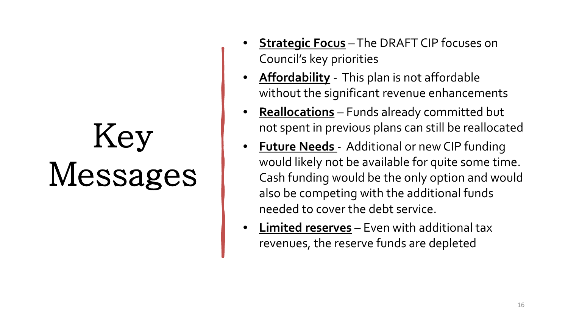# Key Messages

- **Strategic Focus** –The DRAFT CIP focuses on Council's key priorities
- **Affordability** This plan is not affordable without the significant revenue enhancements
- **Reallocations** Funds already committed but not spent in previous plans can still be reallocated
- **Future Needs** Additional or new CIP funding would likely not be available for quite some time. Cash funding would be the only option and would also be competing with the additional funds needed to cover the debt service.
- **Limited reserves** Even with additional tax revenues, the reserve funds are depleted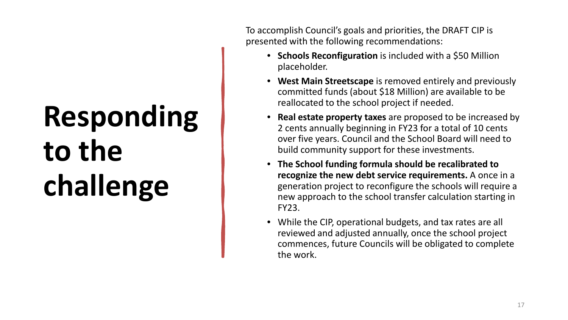# **Responding to the challenge**

To accomplish Council's goals and priorities, the DRAFT CIP is presented with the following recommendations:

- **Schools Reconfiguration** is included with a \$50 Million placeholder.
- **West Main Streetscape** is removed entirely and previously committed funds (about \$18 Million) are available to be reallocated to the school project if needed.
- **Real estate property taxes** are proposed to be increased by 2 cents annually beginning in FY23 for a total of 10 cents over five years. Council and the School Board will need to build community support for these investments.
- **The School funding formula should be recalibrated to recognize the new debt service requirements.** A once in a generation project to reconfigure the schools will require a new approach to the school transfer calculation starting in FY23.
- While the CIP, operational budgets, and tax rates are all reviewed and adjusted annually, once the school project commences, future Councils will be obligated to complete the work.